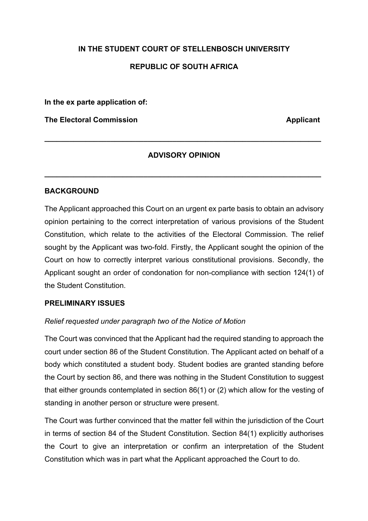# **IN THE STUDENT COURT OF STELLENBOSCH UNIVERSITY REPUBLIC OF SOUTH AFRICA**

**In the ex parte application of:**

**The Electoral Commission Applicant** 

## **ADVISORY OPINION**

**\_\_\_\_\_\_\_\_\_\_\_\_\_\_\_\_\_\_\_\_\_\_\_\_\_\_\_\_\_\_\_\_\_\_\_\_\_\_\_\_\_\_\_\_\_\_\_\_\_\_\_\_\_\_\_\_\_\_\_\_\_\_\_\_\_\_\_**

**\_\_\_\_\_\_\_\_\_\_\_\_\_\_\_\_\_\_\_\_\_\_\_\_\_\_\_\_\_\_\_\_\_\_\_\_\_\_\_\_\_\_\_\_\_\_\_\_\_\_\_\_\_\_\_\_\_\_\_\_\_\_\_\_\_\_\_**

#### **BACKGROUND**

The Applicant approached this Court on an urgent ex parte basis to obtain an advisory opinion pertaining to the correct interpretation of various provisions of the Student Constitution, which relate to the activities of the Electoral Commission. The relief sought by the Applicant was two-fold. Firstly, the Applicant sought the opinion of the Court on how to correctly interpret various constitutional provisions. Secondly, the Applicant sought an order of condonation for non-compliance with section 124(1) of the Student Constitution.

## **PRELIMINARY ISSUES**

#### *Relief requested under paragraph two of the Notice of Motion*

The Court was convinced that the Applicant had the required standing to approach the court under section 86 of the Student Constitution. The Applicant acted on behalf of a body which constituted a student body. Student bodies are granted standing before the Court by section 86, and there was nothing in the Student Constitution to suggest that either grounds contemplated in section 86(1) or (2) which allow for the vesting of standing in another person or structure were present.

The Court was further convinced that the matter fell within the jurisdiction of the Court in terms of section 84 of the Student Constitution. Section 84(1) explicitly authorises the Court to give an interpretation or confirm an interpretation of the Student Constitution which was in part what the Applicant approached the Court to do.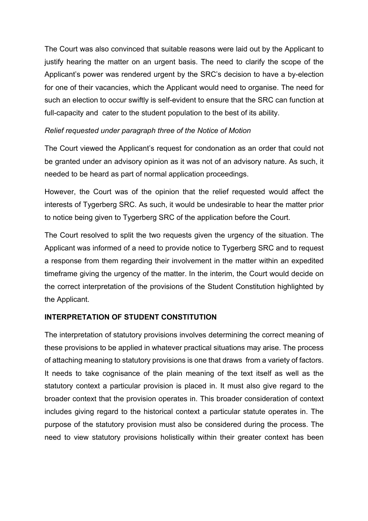The Court was also convinced that suitable reasons were laid out by the Applicant to justify hearing the matter on an urgent basis. The need to clarify the scope of the Applicant's power was rendered urgent by the SRC's decision to have a by-election for one of their vacancies, which the Applicant would need to organise. The need for such an election to occur swiftly is self-evident to ensure that the SRC can function at full-capacity and cater to the student population to the best of its ability.

#### *Relief requested under paragraph three of the Notice of Motion*

The Court viewed the Applicant's request for condonation as an order that could not be granted under an advisory opinion as it was not of an advisory nature. As such, it needed to be heard as part of normal application proceedings.

However, the Court was of the opinion that the relief requested would affect the interests of Tygerberg SRC. As such, it would be undesirable to hear the matter prior to notice being given to Tygerberg SRC of the application before the Court.

The Court resolved to split the two requests given the urgency of the situation. The Applicant was informed of a need to provide notice to Tygerberg SRC and to request a response from them regarding their involvement in the matter within an expedited timeframe giving the urgency of the matter. In the interim, the Court would decide on the correct interpretation of the provisions of the Student Constitution highlighted by the Applicant.

## **INTERPRETATION OF STUDENT CONSTITUTION**

The interpretation of statutory provisions involves determining the correct meaning of these provisions to be applied in whatever practical situations may arise. The process of attaching meaning to statutory provisions is one that draws from a variety of factors. It needs to take cognisance of the plain meaning of the text itself as well as the statutory context a particular provision is placed in. It must also give regard to the broader context that the provision operates in. This broader consideration of context includes giving regard to the historical context a particular statute operates in. The purpose of the statutory provision must also be considered during the process. The need to view statutory provisions holistically within their greater context has been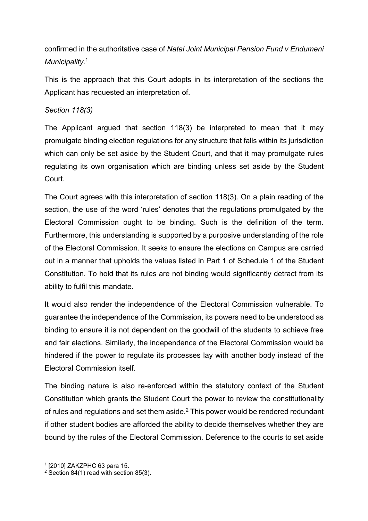confirmed in the authoritative case of *Natal Joint Municipal Pension Fund v Endumeni Municipality*. 1

This is the approach that this Court adopts in its interpretation of the sections the Applicant has requested an interpretation of.

## *Section 118(3)*

The Applicant argued that section 118(3) be interpreted to mean that it may promulgate binding election regulations for any structure that falls within its jurisdiction which can only be set aside by the Student Court, and that it may promulgate rules regulating its own organisation which are binding unless set aside by the Student Court.

The Court agrees with this interpretation of section 118(3). On a plain reading of the section, the use of the word 'rules' denotes that the regulations promulgated by the Electoral Commission ought to be binding. Such is the definition of the term. Furthermore, this understanding is supported by a purposive understanding of the role of the Electoral Commission. It seeks to ensure the elections on Campus are carried out in a manner that upholds the values listed in Part 1 of Schedule 1 of the Student Constitution. To hold that its rules are not binding would significantly detract from its ability to fulfil this mandate.

It would also render the independence of the Electoral Commission vulnerable. To guarantee the independence of the Commission, its powers need to be understood as binding to ensure it is not dependent on the goodwill of the students to achieve free and fair elections. Similarly, the independence of the Electoral Commission would be hindered if the power to regulate its processes lay with another body instead of the Electoral Commission itself.

The binding nature is also re-enforced within the statutory context of the Student Constitution which grants the Student Court the power to review the constitutionality of rules and regulations and set them aside.2 This power would be rendered redundant if other student bodies are afforded the ability to decide themselves whether they are bound by the rules of the Electoral Commission. Deference to the courts to set aside

<sup>1</sup> [2010] ZAKZPHC 63 para 15.

<sup>&</sup>lt;sup>2</sup> Section 84(1) read with section 85(3).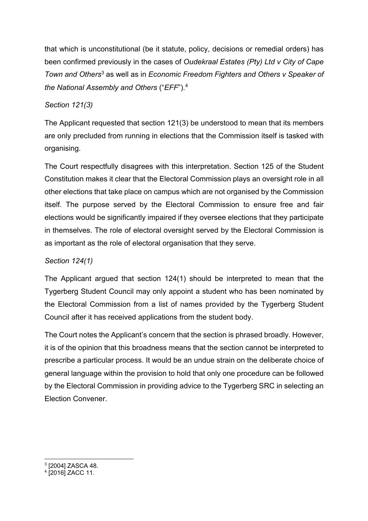that which is unconstitutional (be it statute, policy, decisions or remedial orders) has been confirmed previously in the cases of *Oudekraal Estates (Pty) Ltd v City of Cape Town and Others*<sup>3</sup> as well as in *Economic Freedom Fighters and Others v Speaker of the National Assembly and Others* ("*EFF*"). 4

## *Section 121(3)*

The Applicant requested that section 121(3) be understood to mean that its members are only precluded from running in elections that the Commission itself is tasked with organising.

The Court respectfully disagrees with this interpretation. Section 125 of the Student Constitution makes it clear that the Electoral Commission plays an oversight role in all other elections that take place on campus which are not organised by the Commission itself. The purpose served by the Electoral Commission to ensure free and fair elections would be significantly impaired if they oversee elections that they participate in themselves. The role of electoral oversight served by the Electoral Commission is as important as the role of electoral organisation that they serve.

# *Section 124(1)*

The Applicant argued that section 124(1) should be interpreted to mean that the Tygerberg Student Council may only appoint a student who has been nominated by the Electoral Commission from a list of names provided by the Tygerberg Student Council after it has received applications from the student body.

The Court notes the Applicant's concern that the section is phrased broadly. However, it is of the opinion that this broadness means that the section cannot be interpreted to prescribe a particular process. It would be an undue strain on the deliberate choice of general language within the provision to hold that only one procedure can be followed by the Electoral Commission in providing advice to the Tygerberg SRC in selecting an Election Convener.

<sup>3</sup> [2004] ZASCA 48.

<sup>4</sup> [2016] ZACC 11.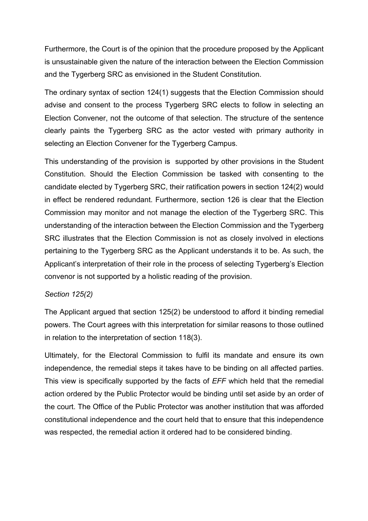Furthermore, the Court is of the opinion that the procedure proposed by the Applicant is unsustainable given the nature of the interaction between the Election Commission and the Tygerberg SRC as envisioned in the Student Constitution.

The ordinary syntax of section 124(1) suggests that the Election Commission should advise and consent to the process Tygerberg SRC elects to follow in selecting an Election Convener, not the outcome of that selection. The structure of the sentence clearly paints the Tygerberg SRC as the actor vested with primary authority in selecting an Election Convener for the Tygerberg Campus.

This understanding of the provision is supported by other provisions in the Student Constitution. Should the Election Commission be tasked with consenting to the candidate elected by Tygerberg SRC, their ratification powers in section 124(2) would in effect be rendered redundant. Furthermore, section 126 is clear that the Election Commission may monitor and not manage the election of the Tygerberg SRC. This understanding of the interaction between the Election Commission and the Tygerberg SRC illustrates that the Election Commission is not as closely involved in elections pertaining to the Tygerberg SRC as the Applicant understands it to be. As such, the Applicant's interpretation of their role in the process of selecting Tygerberg's Election convenor is not supported by a holistic reading of the provision.

#### *Section 125(2)*

The Applicant argued that section 125(2) be understood to afford it binding remedial powers. The Court agrees with this interpretation for similar reasons to those outlined in relation to the interpretation of section 118(3).

Ultimately, for the Electoral Commission to fulfil its mandate and ensure its own independence, the remedial steps it takes have to be binding on all affected parties. This view is specifically supported by the facts of *EFF* which held that the remedial action ordered by the Public Protector would be binding until set aside by an order of the court. The Office of the Public Protector was another institution that was afforded constitutional independence and the court held that to ensure that this independence was respected, the remedial action it ordered had to be considered binding.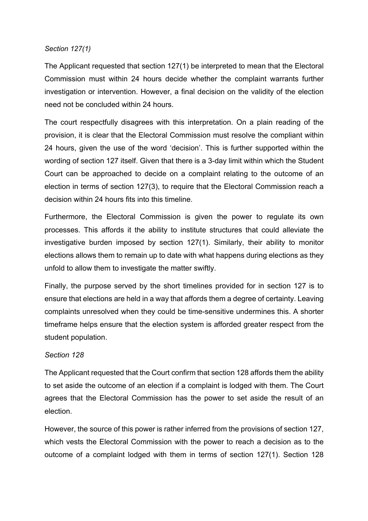#### *Section 127(1)*

The Applicant requested that section 127(1) be interpreted to mean that the Electoral Commission must within 24 hours decide whether the complaint warrants further investigation or intervention. However, a final decision on the validity of the election need not be concluded within 24 hours.

The court respectfully disagrees with this interpretation. On a plain reading of the provision, it is clear that the Electoral Commission must resolve the compliant within 24 hours, given the use of the word 'decision'. This is further supported within the wording of section 127 itself. Given that there is a 3-day limit within which the Student Court can be approached to decide on a complaint relating to the outcome of an election in terms of section 127(3), to require that the Electoral Commission reach a decision within 24 hours fits into this timeline.

Furthermore, the Electoral Commission is given the power to regulate its own processes. This affords it the ability to institute structures that could alleviate the investigative burden imposed by section 127(1). Similarly, their ability to monitor elections allows them to remain up to date with what happens during elections as they unfold to allow them to investigate the matter swiftly.

Finally, the purpose served by the short timelines provided for in section 127 is to ensure that elections are held in a way that affords them a degree of certainty. Leaving complaints unresolved when they could be time-sensitive undermines this. A shorter timeframe helps ensure that the election system is afforded greater respect from the student population.

#### *Section 128*

The Applicant requested that the Court confirm that section 128 affords them the ability to set aside the outcome of an election if a complaint is lodged with them. The Court agrees that the Electoral Commission has the power to set aside the result of an election.

However, the source of this power is rather inferred from the provisions of section 127, which vests the Electoral Commission with the power to reach a decision as to the outcome of a complaint lodged with them in terms of section 127(1). Section 128